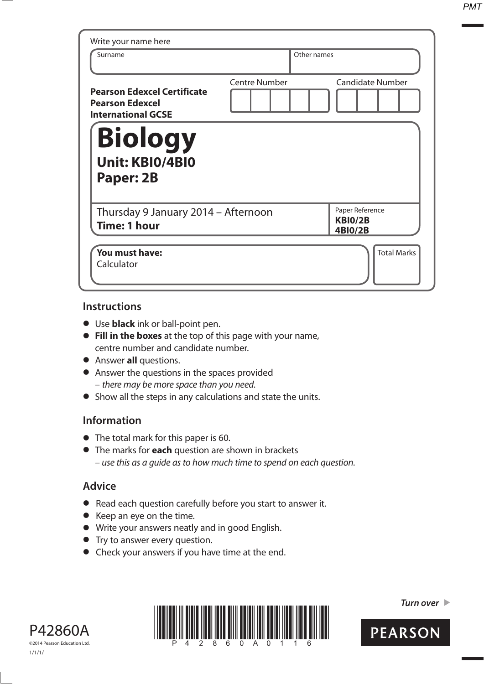*PMT*

| Surname                                                                                   |                      | Other names                                         |
|-------------------------------------------------------------------------------------------|----------------------|-----------------------------------------------------|
| <b>Pearson Edexcel Certificate</b><br><b>Pearson Edexcel</b><br><b>International GCSE</b> | <b>Centre Number</b> | <b>Candidate Number</b>                             |
| <b>Biology</b>                                                                            |                      |                                                     |
| <b>Unit: KBI0/4BI0</b><br>Paper: 2B                                                       |                      |                                                     |
| Thursday 9 January 2014 - Afternoon<br>Time: 1 hour                                       |                      | Paper Reference<br><b>KBI0/2B</b><br><b>4BI0/2B</b> |

#### **Instructions**

- **t** Use **black** ink or ball-point pen.
- **Fill in the boxes** at the top of this page with your name, centre number and candidate number.
- **•** Answer **all** questions.
- **•** Answer the questions in the spaces provided – there may be more space than you need.
- **•** Show all the steps in any calculations and state the units.

### **Information**

- The total mark for this paper is 60.
- **t** The marks for **each** question are shown in brackets – use this as a guide as to how much time to spend on each question.

### **Advice**

- **t** Read each question carefully before you start to answer it.
- **t** Keep an eye on the time.
- **t** Write your answers neatly and in good English.
- **•** Try to answer every question.
- **•** Check your answers if you have time at the end.





**Turn over** 

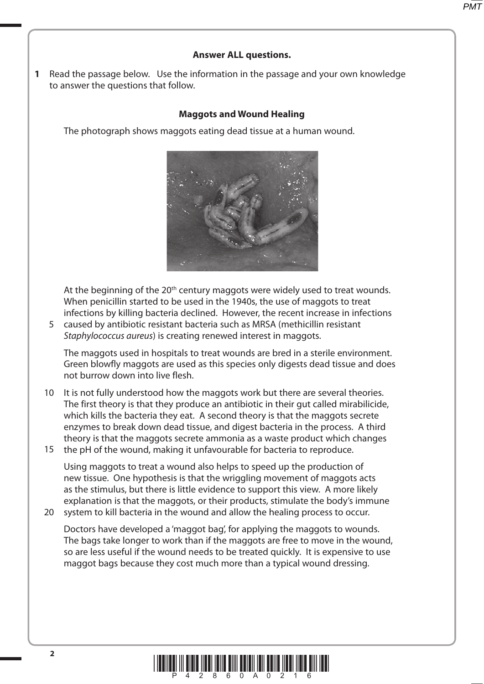# **Answer ALL questions.**

**1** Read the passage below. Use the information in the passage and your own knowledge to answer the questions that follow.

## **Maggots and Wound Healing**

The photograph shows maggots eating dead tissue at a human wound.



At the beginning of the 20<sup>th</sup> century maggots were widely used to treat wounds. When penicillin started to be used in the 1940s, the use of maggots to treat infections by killing bacteria declined. However, the recent increase in infections

caused by antibiotic resistant bacteria such as MRSA (methicillin resistant 5 Staphylococcus aureus) is creating renewed interest in maggots.

The maggots used in hospitals to treat wounds are bred in a sterile environment. Green blowfly maggots are used as this species only digests dead tissue and does not burrow down into live flesh.

10 It is not fully understood how the maggots work but there are several theories. The first theory is that they produce an antibiotic in their gut called mirabilicide, which kills the bacteria they eat. A second theory is that the maggots secrete enzymes to break down dead tissue, and digest bacteria in the process. A third theory is that the maggots secrete ammonia as a waste product which changes the pH of the wound, making it unfavourable for bacteria to reproduce. 15

Using maggots to treat a wound also helps to speed up the production of new tissue. One hypothesis is that the wriggling movement of maggots acts as the stimulus, but there is little evidence to support this view. A more likely explanation is that the maggots, or their products, stimulate the body's immune

20 system to kill bacteria in the wound and allow the healing process to occur.

Doctors have developed a 'maggot bag', for applying the maggots to wounds. The bags take longer to work than if the maggots are free to move in the wound, so are less useful if the wound needs to be treated quickly. It is expensive to use maggot bags because they cost much more than a typical wound dressing.

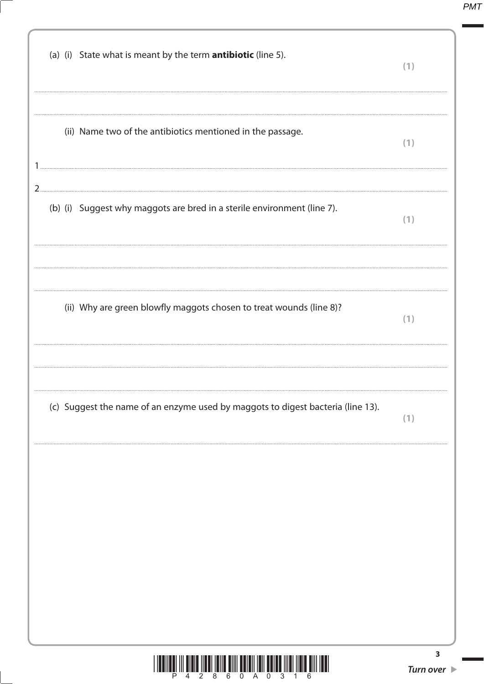**PMT** 

| (c) Suggest the name of an enzyme used by maggots to digest bacteria (line 13).             | (1) |
|---------------------------------------------------------------------------------------------|-----|
| (ii) Why are green blowfly maggots chosen to treat wounds (line 8)?                         | (1) |
| $2_{\cdot\cdot}$<br>(b) (i) Suggest why maggots are bred in a sterile environment (line 7). | (1) |
| (ii) Name two of the antibiotics mentioned in the passage.                                  | (1) |
| (a) (i) State what is meant by the term <b>antibiotic</b> (line 5).                         | (1) |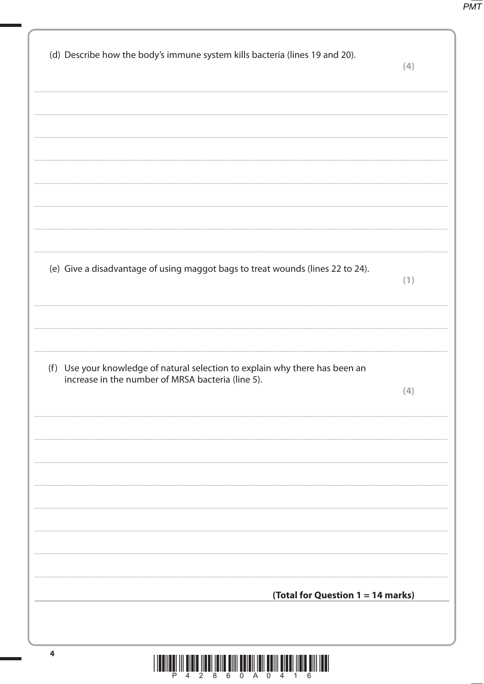$P\overline{MT}$ 

| (d) Describe how the body's immune system kills bacteria (lines 19 and 20).                                                       | (4) |
|-----------------------------------------------------------------------------------------------------------------------------------|-----|
|                                                                                                                                   |     |
|                                                                                                                                   |     |
|                                                                                                                                   |     |
|                                                                                                                                   |     |
|                                                                                                                                   |     |
|                                                                                                                                   |     |
| (e) Give a disadvantage of using maggot bags to treat wounds (lines 22 to 24).                                                    | (1) |
|                                                                                                                                   |     |
|                                                                                                                                   |     |
| (f) Use your knowledge of natural selection to explain why there has been an<br>increase in the number of MRSA bacteria (line 5). |     |
|                                                                                                                                   | (4) |
|                                                                                                                                   |     |
|                                                                                                                                   |     |
|                                                                                                                                   |     |
|                                                                                                                                   |     |
|                                                                                                                                   |     |
|                                                                                                                                   |     |
| (Total for Question 1 = 14 marks)                                                                                                 |     |
|                                                                                                                                   |     |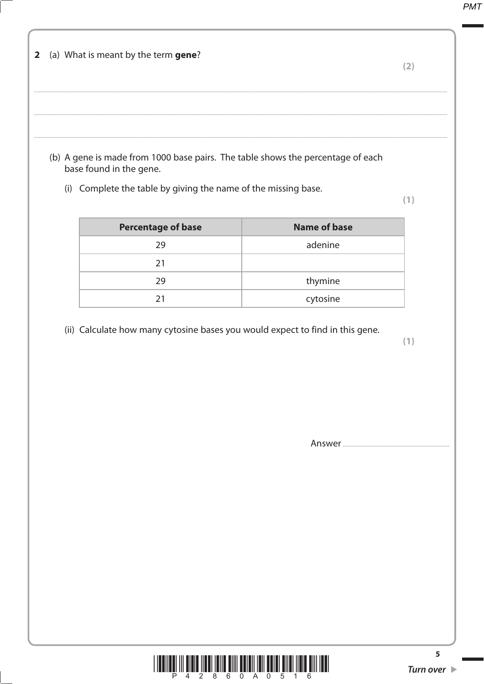**PMT** 

|     | (a) What is meant by the term gene?                                                                                                                                      |                     | (2) |
|-----|--------------------------------------------------------------------------------------------------------------------------------------------------------------------------|---------------------|-----|
|     |                                                                                                                                                                          |                     |     |
|     |                                                                                                                                                                          |                     |     |
| (i) | (b) A gene is made from 1000 base pairs. The table shows the percentage of each<br>base found in the gene.<br>Complete the table by giving the name of the missing base. |                     | (1) |
|     | <b>Percentage of base</b>                                                                                                                                                | <b>Name of base</b> |     |
|     | 29                                                                                                                                                                       | adenine             |     |
|     | 21                                                                                                                                                                       |                     |     |
|     | 29                                                                                                                                                                       | thymine             |     |
|     | 21                                                                                                                                                                       | cytosine            |     |

Answer

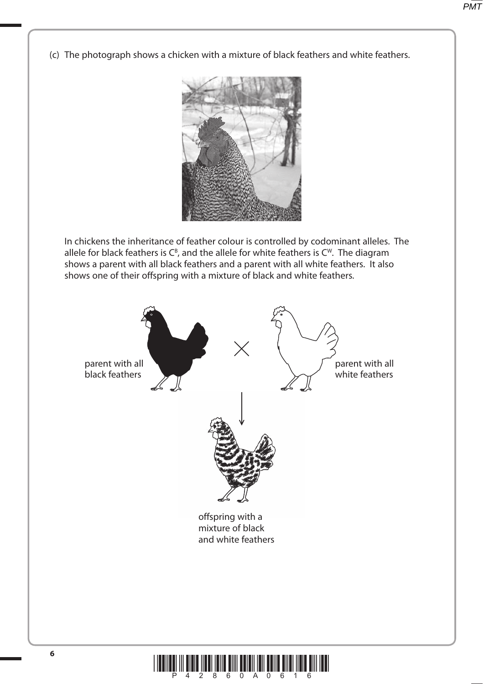(c) The photograph shows a chicken with a mixture of black feathers and white feathers.



 In chickens the inheritance of feather colour is controlled by codominant alleles. The allele for black feathers is  $C^B$ , and the allele for white feathers is  $C^W$ . The diagram shows a parent with all black feathers and a parent with all white feathers. It also shows one of their offspring with a mixture of black and white feathers.



!"#\$%&'('&)&!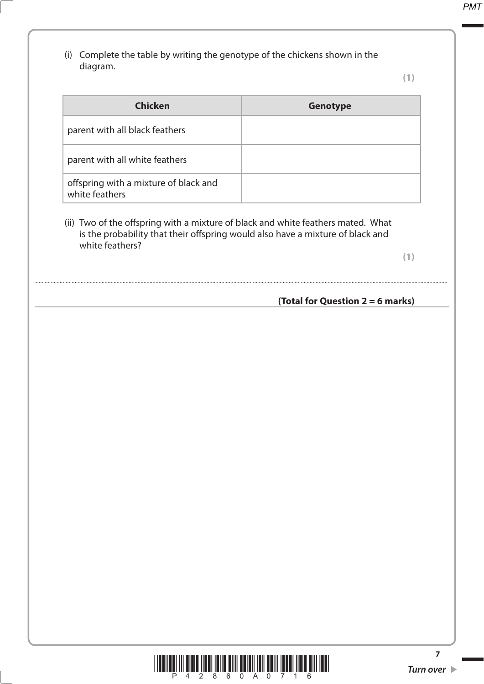(i) Complete the table by writing the genotype of the chickens shown in the diagram.

**(1)**

| <b>Chicken</b>                                          | <b>Genotype</b> |
|---------------------------------------------------------|-----------------|
| parent with all black feathers                          |                 |
| parent with all white feathers                          |                 |
| offspring with a mixture of black and<br>white feathers |                 |

 (ii) Two of the offspring with a mixture of black and white feathers mated. What is the probability that their offspring would also have a mixture of black and white feathers?

....................................................................................................................................................................................................................................................................................

**(1)**

### **(Total for Question 2 = 6 marks)**

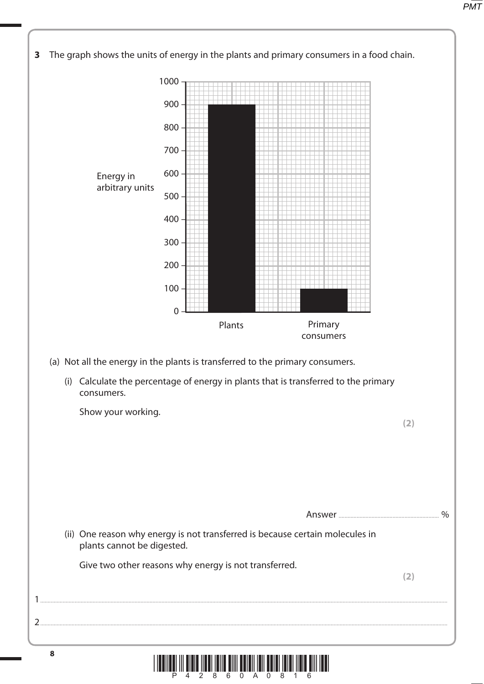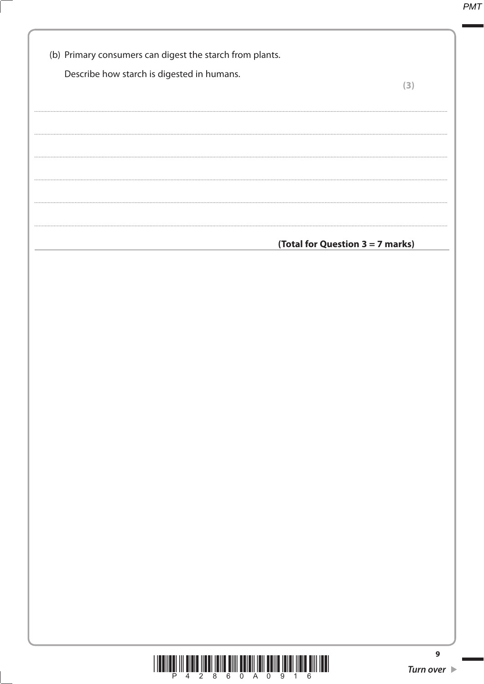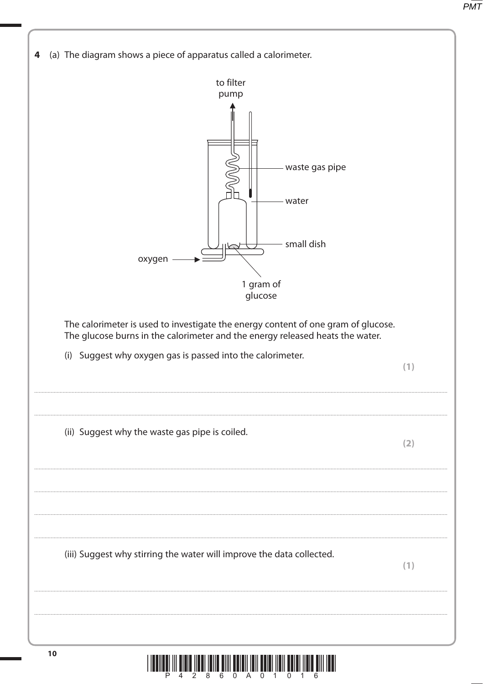

LÊÎ III DÎRIL ÎNELÎ ÊME ÊME ÊMENÎ TER ÊMENÎ ÎNE ÊMENÎ ÎNELÊMENE.<br>LÊÎ III DÎRE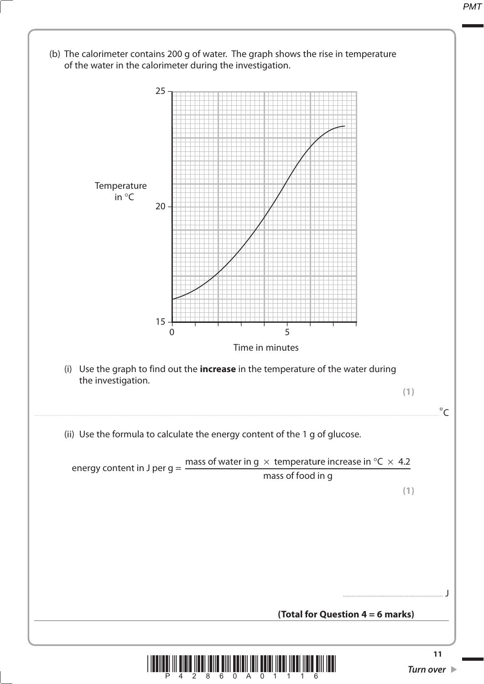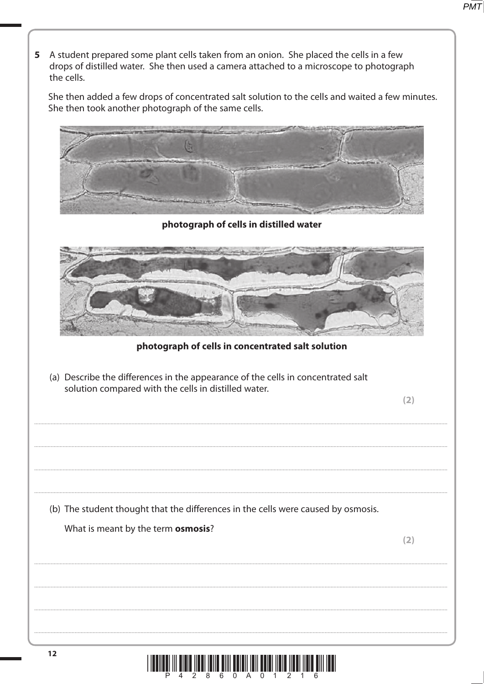5 A student prepared some plant cells taken from an onion. She placed the cells in a few drops of distilled water. She then used a camera attached to a microscope to photograph the cells. She then added a few drops of concentrated salt solution to the cells and waited a few minutes. She then took another photograph of the same cells. photograph of cells in distilled water photograph of cells in concentrated salt solution (a) Describe the differences in the appearance of the cells in concentrated salt solution compared with the cells in distilled water.  $(2)$ (b) The student thought that the differences in the cells were caused by osmosis. What is meant by the term osmosis?  $(2)$ 

 $8<sup>7</sup>$ 

6

 $0$  A  $0$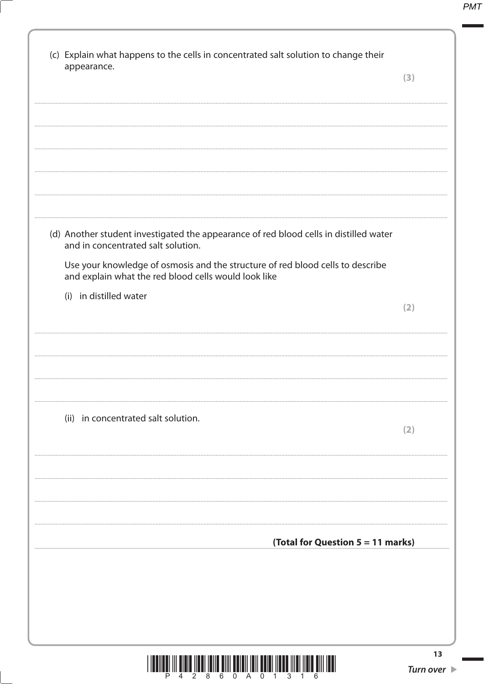| (c) Explain what happens to the cells in concentrated salt solution to change their<br>appearance.                                     | (3)          |
|----------------------------------------------------------------------------------------------------------------------------------------|--------------|
|                                                                                                                                        |              |
|                                                                                                                                        |              |
|                                                                                                                                        |              |
|                                                                                                                                        |              |
| (d) Another student investigated the appearance of red blood cells in distilled water<br>and in concentrated salt solution.            |              |
| Use your knowledge of osmosis and the structure of red blood cells to describe<br>and explain what the red blood cells would look like |              |
| (i) in distilled water                                                                                                                 | (2)          |
|                                                                                                                                        |              |
|                                                                                                                                        |              |
|                                                                                                                                        |              |
| (ii) in concentrated salt solution.                                                                                                    | $\mathbf{2}$ |
|                                                                                                                                        |              |
|                                                                                                                                        |              |
|                                                                                                                                        |              |
| (Total for Question 5 = 11 marks)                                                                                                      |              |
|                                                                                                                                        |              |
|                                                                                                                                        |              |
|                                                                                                                                        |              |

1

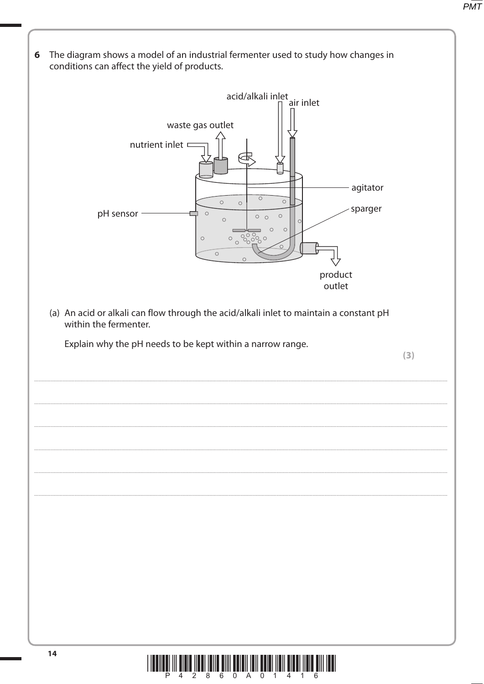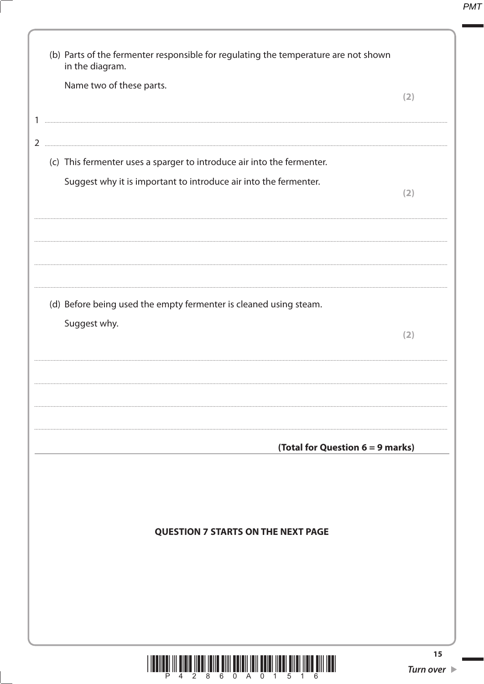| (b) Parts of the fermenter responsible for regulating the temperature are not shown<br>in the diagram. |                                       |
|--------------------------------------------------------------------------------------------------------|---------------------------------------|
| Name two of these parts.                                                                               | (2)                                   |
|                                                                                                        |                                       |
| (c) This fermenter uses a sparger to introduce air into the fermenter.                                 |                                       |
| Suggest why it is important to introduce air into the fermenter.                                       | (2)                                   |
|                                                                                                        |                                       |
| (d) Before being used the empty fermenter is cleaned using steam.                                      |                                       |
| Suggest why.                                                                                           | (2)                                   |
|                                                                                                        |                                       |
| (Total for Question 6 = 9 marks)                                                                       |                                       |
|                                                                                                        |                                       |
| <b>QUESTION 7 STARTS ON THE NEXT PAGE</b>                                                              |                                       |
|                                                                                                        |                                       |
|                                                                                                        |                                       |
|                                                                                                        | 15<br>Turn over $\blacktriangleright$ |

1